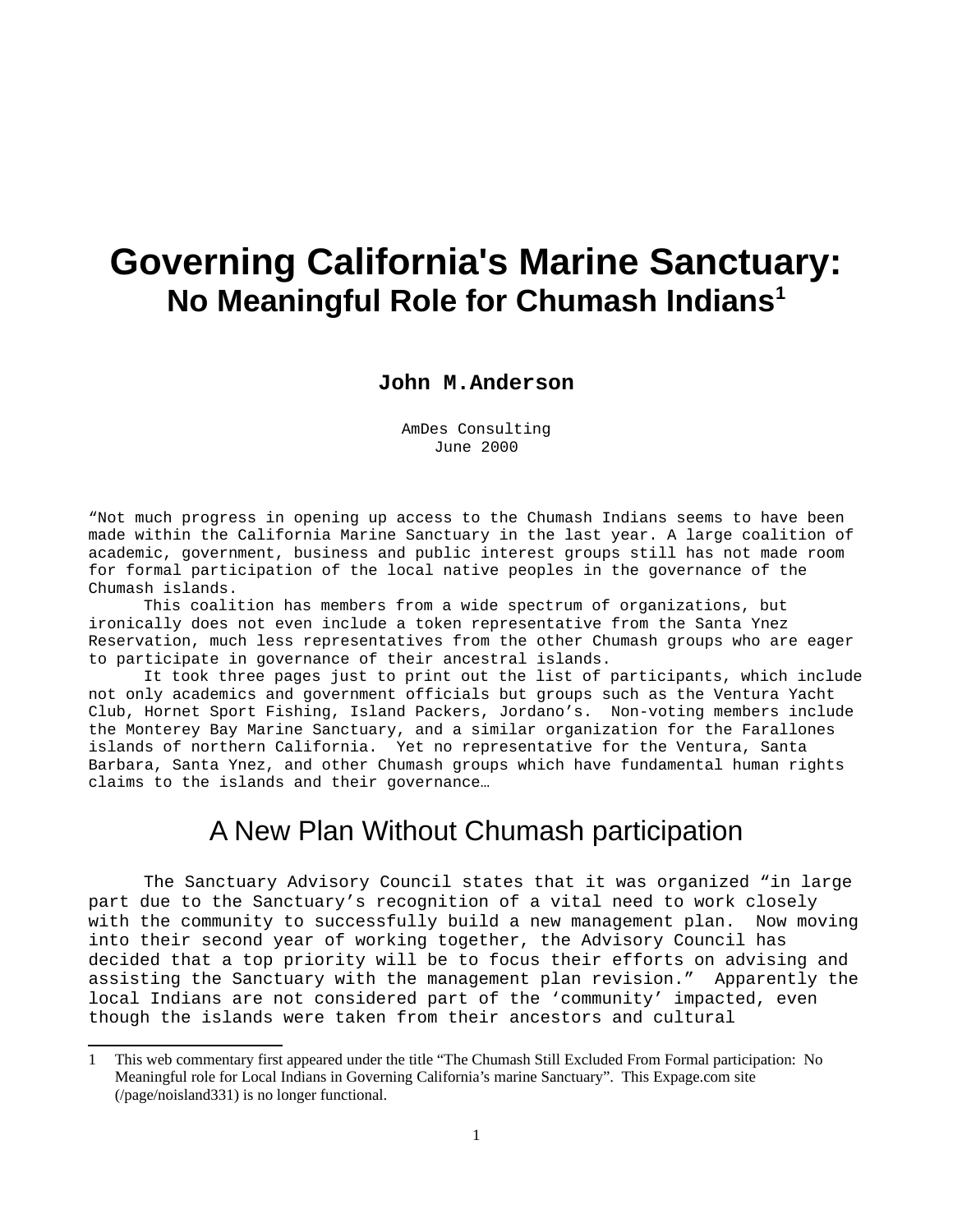## **Governing California's Marine Sanctuary: No Meaningful Role for Chumash Indians[1](#page-0-0)**

### **John M.Anderson**

AmDes Consulting June 2000

"Not much progress in opening up access to the Chumash Indians seems to have been made within the California Marine Sanctuary in the last year. A large coalition of academic, government, business and public interest groups still has not made room for formal participation of the local native peoples in the governance of the Chumash islands.

This coalition has members from a wide spectrum of organizations, but ironically does not even include a token representative from the Santa Ynez Reservation, much less representatives from the other Chumash groups who are eager to participate in governance of their ancestral islands.

It took three pages just to print out the list of participants, which include not only academics and government officials but groups such as the Ventura Yacht Club, Hornet Sport Fishing, Island Packers, Jordano's. Non-voting members include the Monterey Bay Marine Sanctuary, and a similar organization for the Farallones islands of northern California. Yet no representative for the Ventura, Santa Barbara, Santa Ynez, and other Chumash groups which have fundamental human rights claims to the islands and their governance…

### A New Plan Without Chumash participation

The Sanctuary Advisory Council states that it was organized "in large part due to the Sanctuary's recognition of a vital need to work closely with the community to successfully build a new management plan. Now moving into their second year of working together, the Advisory Council has decided that a top priority will be to focus their efforts on advising and assisting the Sanctuary with the management plan revision." Apparently the local Indians are not considered part of the 'community' impacted, even though the islands were taken from their ancestors and cultural

<span id="page-0-0"></span><sup>1</sup> This web commentary first appeared under the title "The Chumash Still Excluded From Formal participation: No Meaningful role for Local Indians in Governing California's marine Sanctuary". This Expage.com site (/page/noisland331) is no longer functional.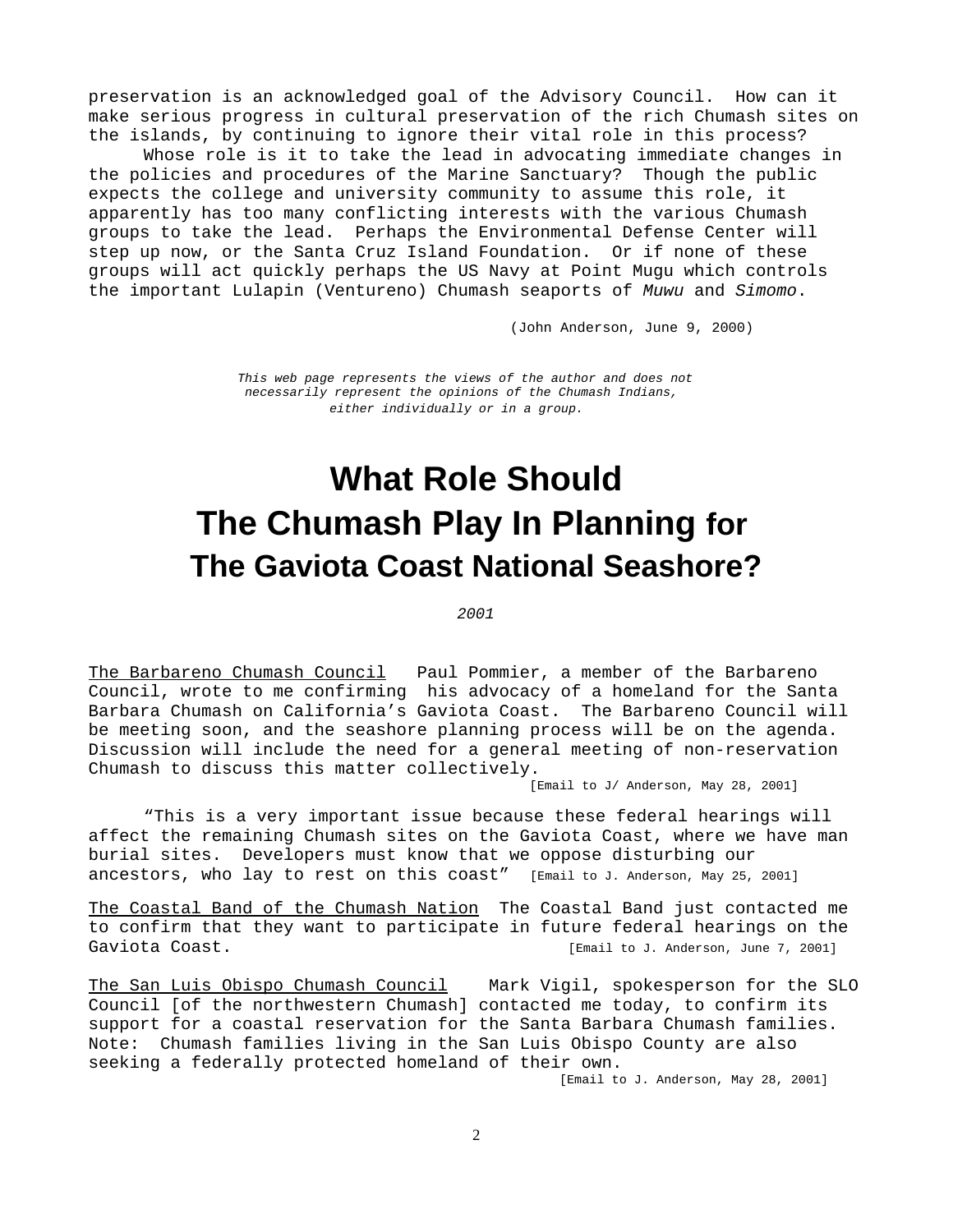preservation is an acknowledged goal of the Advisory Council. How can it make serious progress in cultural preservation of the rich Chumash sites on the islands, by continuing to ignore their vital role in this process?

Whose role is it to take the lead in advocating immediate changes in the policies and procedures of the Marine Sanctuary? Though the public expects the college and university community to assume this role, it apparently has too many conflicting interests with the various Chumash groups to take the lead. Perhaps the Environmental Defense Center will step up now, or the Santa Cruz Island Foundation. Or if none of these groups will act quickly perhaps the US Navy at Point Mugu which controls the important Lulapin (Ventureno) Chumash seaports of *Muwu* and *Simomo*.

(John Anderson, June 9, 2000)

*This web page represents the views of the author and does not necessarily represent the opinions of the Chumash Indians, either individually or in a group.*

# **What Role Should The Chumash Play In Planning for The Gaviota Coast National Seashore?**

#### *2001*

The Barbareno Chumash Council Paul Pommier, a member of the Barbareno Council, wrote to me confirming his advocacy of a homeland for the Santa Barbara Chumash on California's Gaviota Coast. The Barbareno Council will be meeting soon, and the seashore planning process will be on the agenda. Discussion will include the need for a general meeting of non-reservation Chumash to discuss this matter collectively.

[Email to J/ Anderson, May 28, 2001]

"This is a very important issue because these federal hearings will affect the remaining Chumash sites on the Gaviota Coast, where we have man burial sites. Developers must know that we oppose disturbing our ancestors, who lay to rest on this  $\text{coast}''$  [Email to J. Anderson, May 25, 2001]

The Coastal Band of the Chumash Nation The Coastal Band just contacted me to confirm that they want to participate in future federal hearings on the Gaviota Coast. [Email to J. Anderson, June 7, 2001]

The San Luis Obispo Chumash Council Mark Vigil, spokesperson for the SLO Council [of the northwestern Chumash] contacted me today, to confirm its support for a coastal reservation for the Santa Barbara Chumash families. Note: Chumash families living in the San Luis Obispo County are also seeking a federally protected homeland of their own.

[Email to J. Anderson, May 28, 2001]